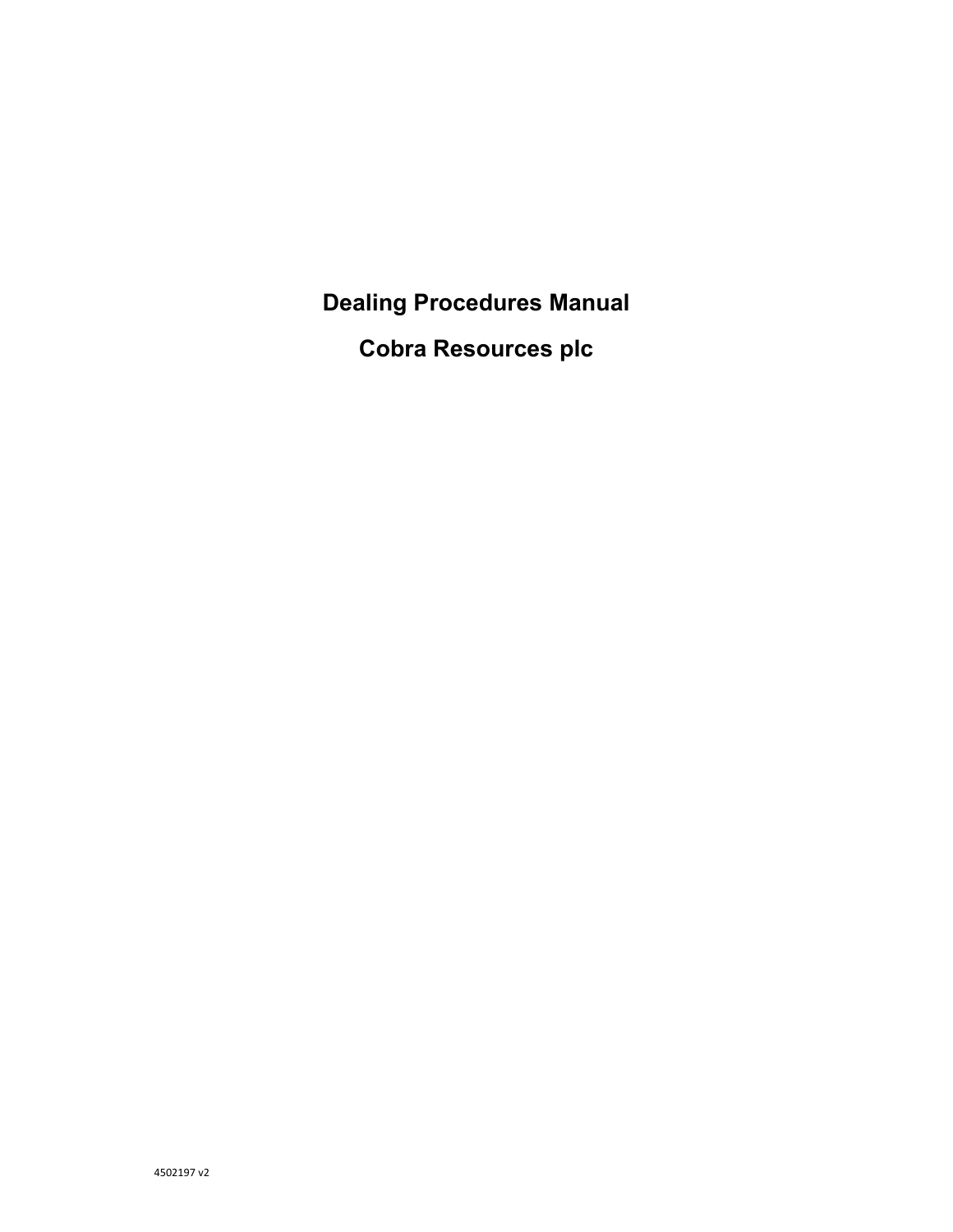**Dealing Procedures Manual** 

**Cobra Resources plc**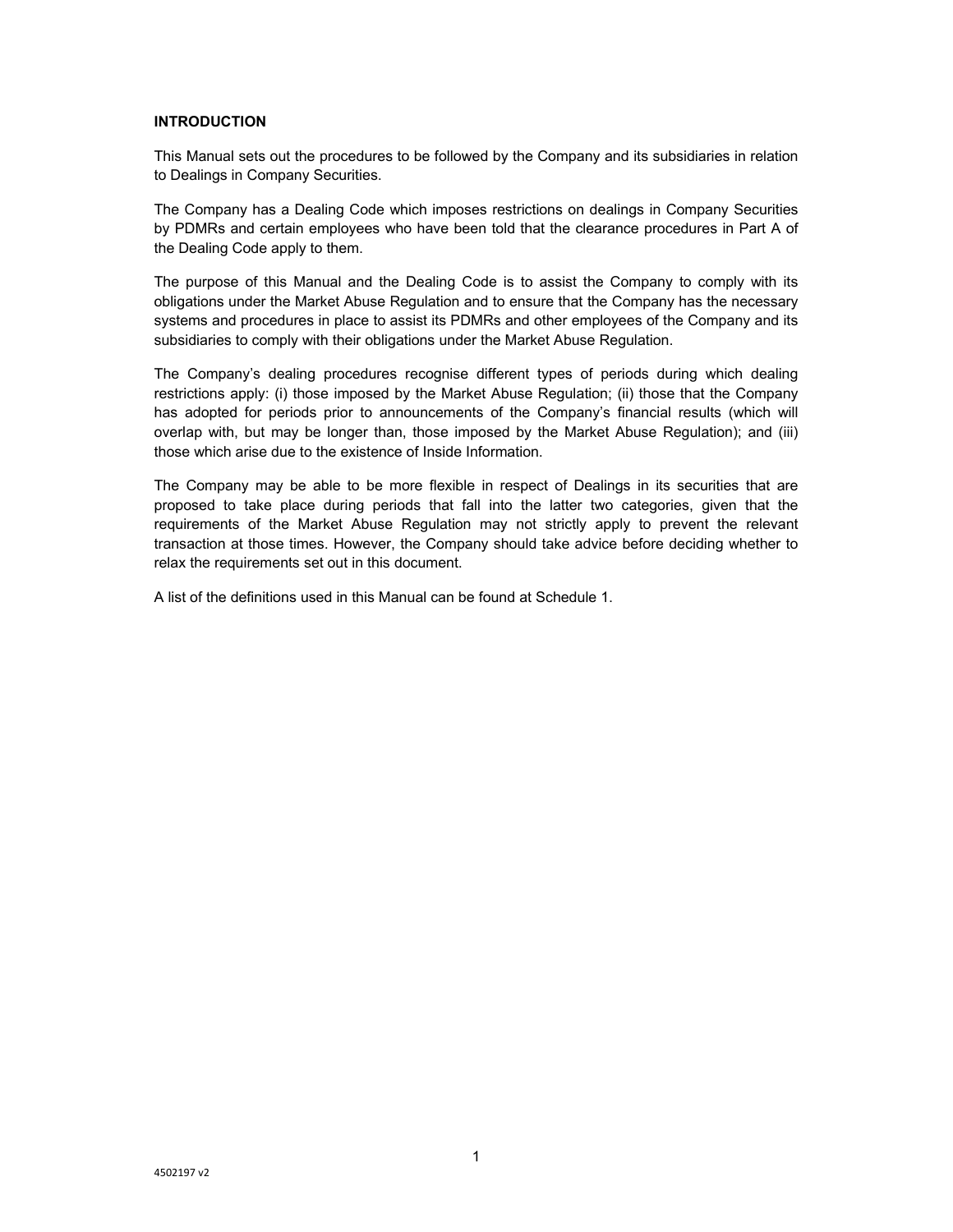# **INTRODUCTION**

This Manual sets out the procedures to be followed by the Company and its subsidiaries in relation to Dealings in Company Securities.

The Company has a Dealing Code which imposes restrictions on dealings in Company Securities by PDMRs and certain employees who have been told that the clearance procedures in Part A of the Dealing Code apply to them.

The purpose of this Manual and the Dealing Code is to assist the Company to comply with its obligations under the Market Abuse Regulation and to ensure that the Company has the necessary systems and procedures in place to assist its PDMRs and other employees of the Company and its subsidiaries to comply with their obligations under the Market Abuse Regulation.

The Company's dealing procedures recognise different types of periods during which dealing restrictions apply: (i) those imposed by the Market Abuse Regulation; (ii) those that the Company has adopted for periods prior to announcements of the Company's financial results (which will overlap with, but may be longer than, those imposed by the Market Abuse Regulation); and (iii) those which arise due to the existence of Inside Information.

The Company may be able to be more flexible in respect of Dealings in its securities that are proposed to take place during periods that fall into the latter two categories, given that the requirements of the Market Abuse Regulation may not strictly apply to prevent the relevant transaction at those times. However, the Company should take advice before deciding whether to relax the requirements set out in this document.

A list of the definitions used in this Manual can be found at Schedule 1.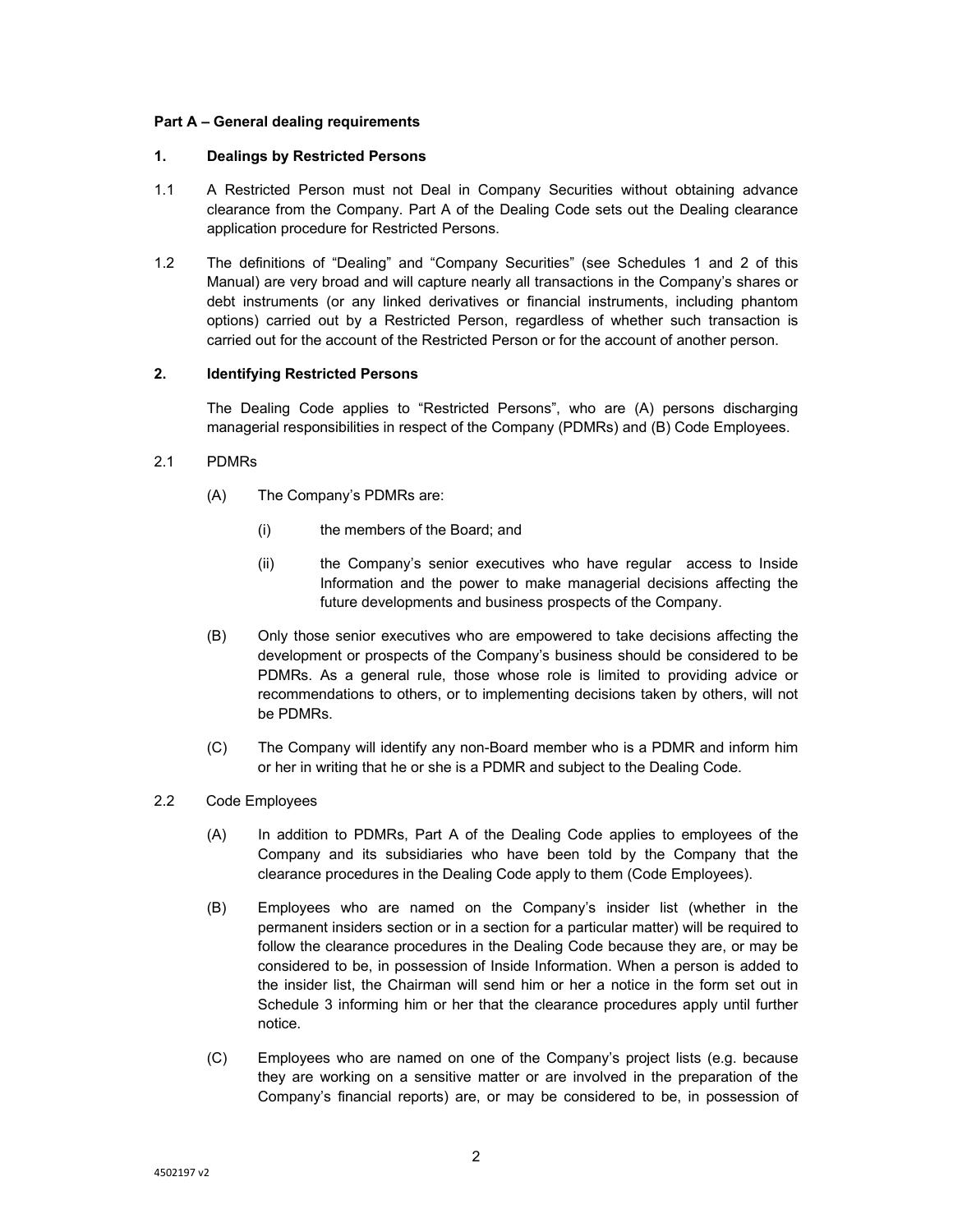## **Part A – General dealing requirements**

### **1. Dealings by Restricted Persons**

- 1.1 A Restricted Person must not Deal in Company Securities without obtaining advance clearance from the Company. Part A of the Dealing Code sets out the Dealing clearance application procedure for Restricted Persons.
- 1.2 The definitions of "Dealing" and "Company Securities" (see Schedules 1 and 2 of this Manual) are very broad and will capture nearly all transactions in the Company's shares or debt instruments (or any linked derivatives or financial instruments, including phantom options) carried out by a Restricted Person, regardless of whether such transaction is carried out for the account of the Restricted Person or for the account of another person.

# **2. Identifying Restricted Persons**

The Dealing Code applies to "Restricted Persons", who are (A) persons discharging managerial responsibilities in respect of the Company (PDMRs) and (B) Code Employees.

# 2.1 PDMRs

- (A) The Company's PDMRs are:
	- (i) the members of the Board; and
	- (ii) the Company's senior executives who have regular access to Inside Information and the power to make managerial decisions affecting the future developments and business prospects of the Company.
- (B) Only those senior executives who are empowered to take decisions affecting the development or prospects of the Company's business should be considered to be PDMRs. As a general rule, those whose role is limited to providing advice or recommendations to others, or to implementing decisions taken by others, will not be PDMRs.
- (C) The Company will identify any non-Board member who is a PDMR and inform him or her in writing that he or she is a PDMR and subject to the Dealing Code.
- 2.2 Code Employees
	- (A) In addition to PDMRs, Part A of the Dealing Code applies to employees of the Company and its subsidiaries who have been told by the Company that the clearance procedures in the Dealing Code apply to them (Code Employees).
	- (B) Employees who are named on the Company's insider list (whether in the permanent insiders section or in a section for a particular matter) will be required to follow the clearance procedures in the Dealing Code because they are, or may be considered to be, in possession of Inside Information. When a person is added to the insider list, the Chairman will send him or her a notice in the form set out in Schedule 3 informing him or her that the clearance procedures apply until further notice.
	- (C) Employees who are named on one of the Company's project lists (e.g. because they are working on a sensitive matter or are involved in the preparation of the Company's financial reports) are, or may be considered to be, in possession of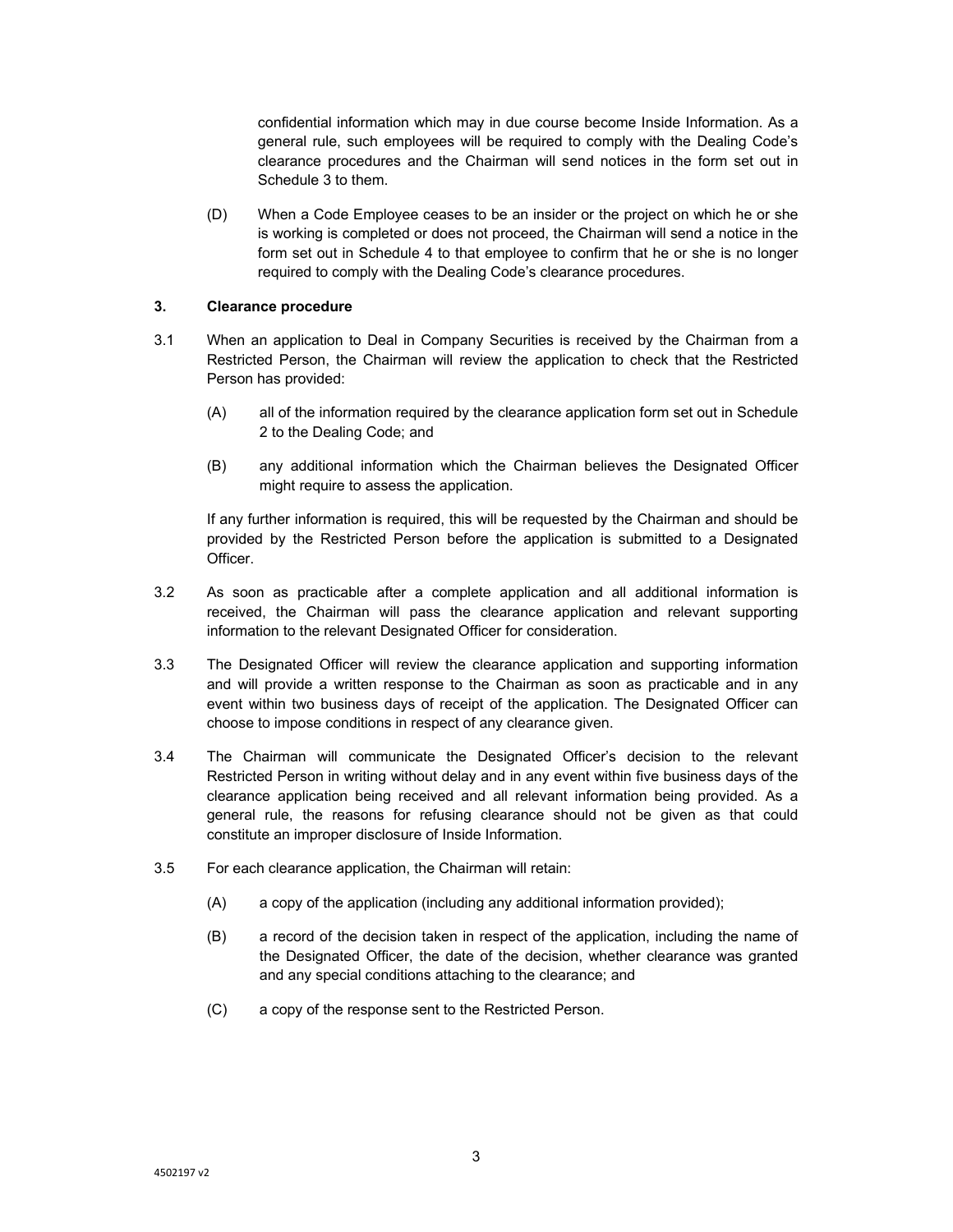confidential information which may in due course become Inside Information. As a general rule, such employees will be required to comply with the Dealing Code's clearance procedures and the Chairman will send notices in the form set out in Schedule 3 to them.

(D) When a Code Employee ceases to be an insider or the project on which he or she is working is completed or does not proceed, the Chairman will send a notice in the form set out in Schedule 4 to that employee to confirm that he or she is no longer required to comply with the Dealing Code's clearance procedures.

## **3. Clearance procedure**

- 3.1 When an application to Deal in Company Securities is received by the Chairman from a Restricted Person, the Chairman will review the application to check that the Restricted Person has provided:
	- (A) all of the information required by the clearance application form set out in Schedule 2 to the Dealing Code; and
	- (B) any additional information which the Chairman believes the Designated Officer might require to assess the application.

If any further information is required, this will be requested by the Chairman and should be provided by the Restricted Person before the application is submitted to a Designated Officer.

- 3.2 As soon as practicable after a complete application and all additional information is received, the Chairman will pass the clearance application and relevant supporting information to the relevant Designated Officer for consideration.
- 3.3 The Designated Officer will review the clearance application and supporting information and will provide a written response to the Chairman as soon as practicable and in any event within two business days of receipt of the application. The Designated Officer can choose to impose conditions in respect of any clearance given.
- 3.4 The Chairman will communicate the Designated Officer's decision to the relevant Restricted Person in writing without delay and in any event within five business days of the clearance application being received and all relevant information being provided. As a general rule, the reasons for refusing clearance should not be given as that could constitute an improper disclosure of Inside Information.
- 3.5 For each clearance application, the Chairman will retain:
	- (A) a copy of the application (including any additional information provided);
	- (B) a record of the decision taken in respect of the application, including the name of the Designated Officer, the date of the decision, whether clearance was granted and any special conditions attaching to the clearance; and
	- (C) a copy of the response sent to the Restricted Person.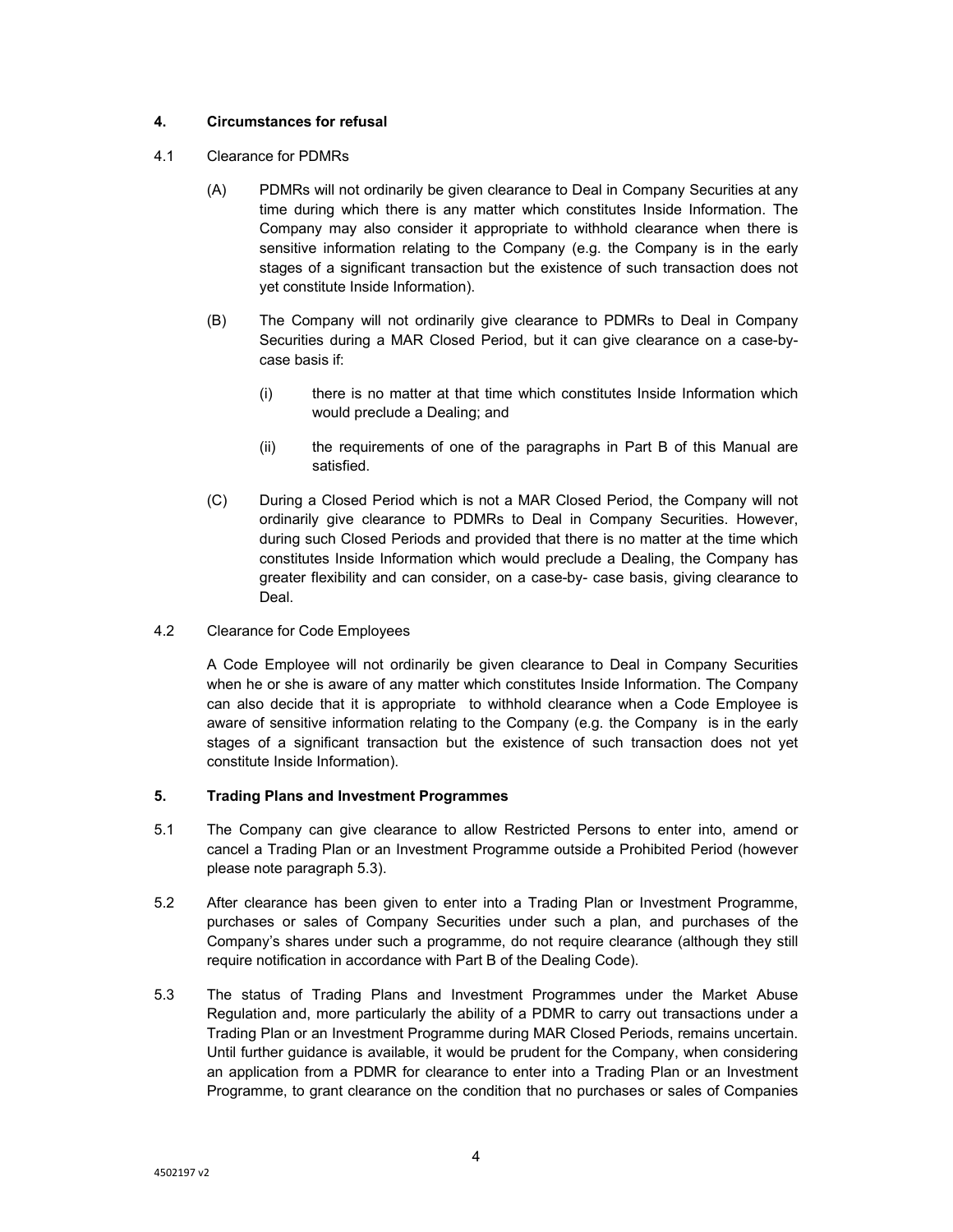# **4. Circumstances for refusal**

- 4.1 Clearance for PDMRs
	- (A) PDMRs will not ordinarily be given clearance to Deal in Company Securities at any time during which there is any matter which constitutes Inside Information. The Company may also consider it appropriate to withhold clearance when there is sensitive information relating to the Company (e.g. the Company is in the early stages of a significant transaction but the existence of such transaction does not yet constitute Inside Information).
	- (B) The Company will not ordinarily give clearance to PDMRs to Deal in Company Securities during a MAR Closed Period, but it can give clearance on a case-bycase basis if:
		- (i) there is no matter at that time which constitutes Inside Information which would preclude a Dealing; and
		- (ii) the requirements of one of the paragraphs in Part B of this Manual are satisfied.
	- (C) During a Closed Period which is not a MAR Closed Period, the Company will not ordinarily give clearance to PDMRs to Deal in Company Securities. However, during such Closed Periods and provided that there is no matter at the time which constitutes Inside Information which would preclude a Dealing, the Company has greater flexibility and can consider, on a case-by- case basis, giving clearance to Deal.
- 4.2 Clearance for Code Employees

A Code Employee will not ordinarily be given clearance to Deal in Company Securities when he or she is aware of any matter which constitutes Inside Information. The Company can also decide that it is appropriate to withhold clearance when a Code Employee is aware of sensitive information relating to the Company (e.g. the Company is in the early stages of a significant transaction but the existence of such transaction does not yet constitute Inside Information).

# **5. Trading Plans and Investment Programmes**

- 5.1 The Company can give clearance to allow Restricted Persons to enter into, amend or cancel a Trading Plan or an Investment Programme outside a Prohibited Period (however please note paragraph 5.3).
- 5.2 After clearance has been given to enter into a Trading Plan or Investment Programme, purchases or sales of Company Securities under such a plan, and purchases of the Company's shares under such a programme, do not require clearance (although they still require notification in accordance with Part B of the Dealing Code).
- 5.3 The status of Trading Plans and Investment Programmes under the Market Abuse Regulation and, more particularly the ability of a PDMR to carry out transactions under a Trading Plan or an Investment Programme during MAR Closed Periods, remains uncertain. Until further guidance is available, it would be prudent for the Company, when considering an application from a PDMR for clearance to enter into a Trading Plan or an Investment Programme, to grant clearance on the condition that no purchases or sales of Companies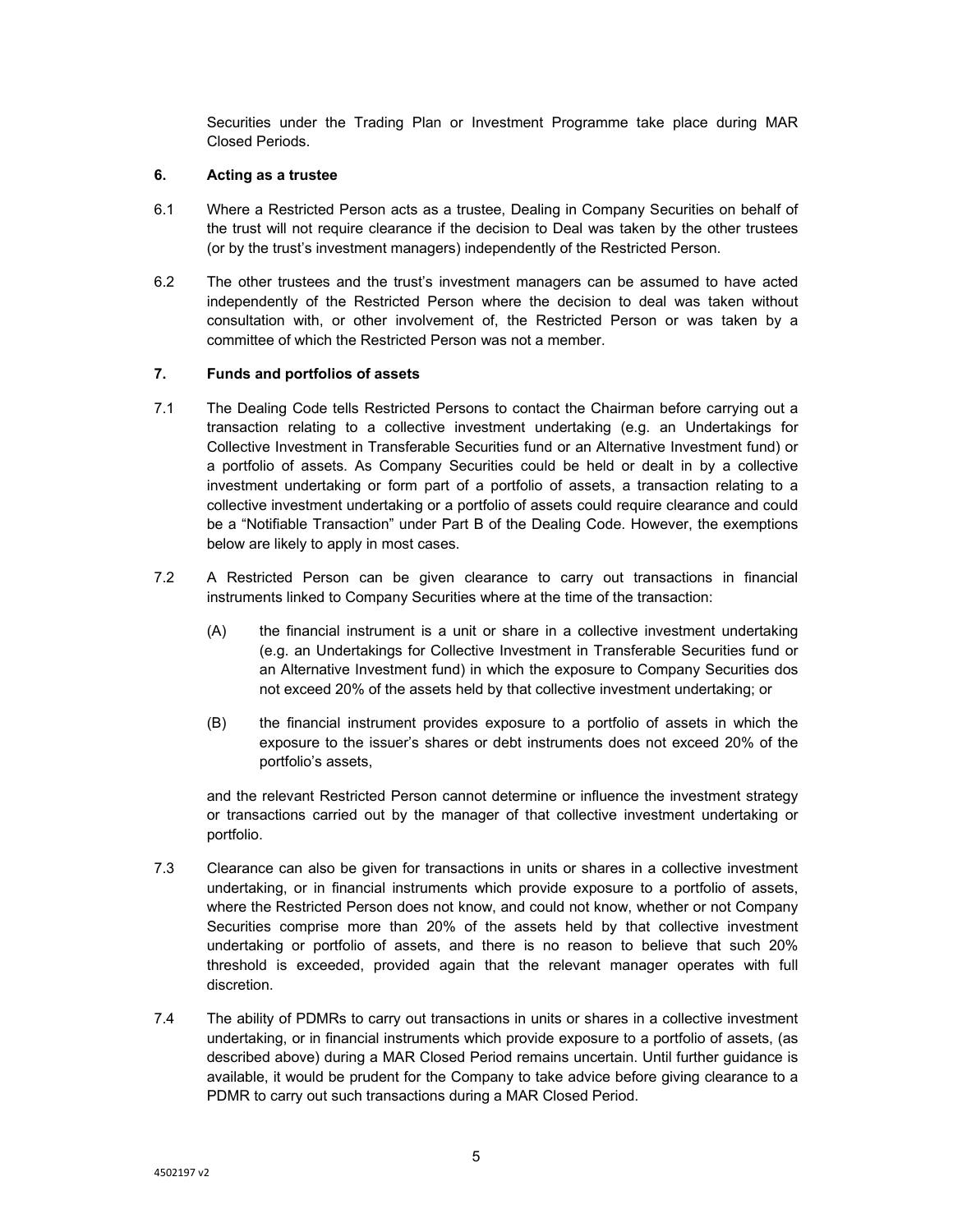Securities under the Trading Plan or Investment Programme take place during MAR Closed Periods.

## **6. Acting as a trustee**

- 6.1 Where a Restricted Person acts as a trustee, Dealing in Company Securities on behalf of the trust will not require clearance if the decision to Deal was taken by the other trustees (or by the trust's investment managers) independently of the Restricted Person.
- 6.2 The other trustees and the trust's investment managers can be assumed to have acted independently of the Restricted Person where the decision to deal was taken without consultation with, or other involvement of, the Restricted Person or was taken by a committee of which the Restricted Person was not a member.

## **7. Funds and portfolios of assets**

- 7.1 The Dealing Code tells Restricted Persons to contact the Chairman before carrying out a transaction relating to a collective investment undertaking (e.g. an Undertakings for Collective Investment in Transferable Securities fund or an Alternative Investment fund) or a portfolio of assets. As Company Securities could be held or dealt in by a collective investment undertaking or form part of a portfolio of assets, a transaction relating to a collective investment undertaking or a portfolio of assets could require clearance and could be a "Notifiable Transaction" under Part B of the Dealing Code. However, the exemptions below are likely to apply in most cases.
- 7.2 A Restricted Person can be given clearance to carry out transactions in financial instruments linked to Company Securities where at the time of the transaction:
	- (A) the financial instrument is a unit or share in a collective investment undertaking (e.g. an Undertakings for Collective Investment in Transferable Securities fund or an Alternative Investment fund) in which the exposure to Company Securities dos not exceed 20% of the assets held by that collective investment undertaking; or
	- (B) the financial instrument provides exposure to a portfolio of assets in which the exposure to the issuer's shares or debt instruments does not exceed 20% of the portfolio's assets,

and the relevant Restricted Person cannot determine or influence the investment strategy or transactions carried out by the manager of that collective investment undertaking or portfolio.

- 7.3 Clearance can also be given for transactions in units or shares in a collective investment undertaking, or in financial instruments which provide exposure to a portfolio of assets, where the Restricted Person does not know, and could not know, whether or not Company Securities comprise more than 20% of the assets held by that collective investment undertaking or portfolio of assets, and there is no reason to believe that such 20% threshold is exceeded, provided again that the relevant manager operates with full discretion.
- 7.4 The ability of PDMRs to carry out transactions in units or shares in a collective investment undertaking, or in financial instruments which provide exposure to a portfolio of assets, (as described above) during a MAR Closed Period remains uncertain. Until further guidance is available, it would be prudent for the Company to take advice before giving clearance to a PDMR to carry out such transactions during a MAR Closed Period.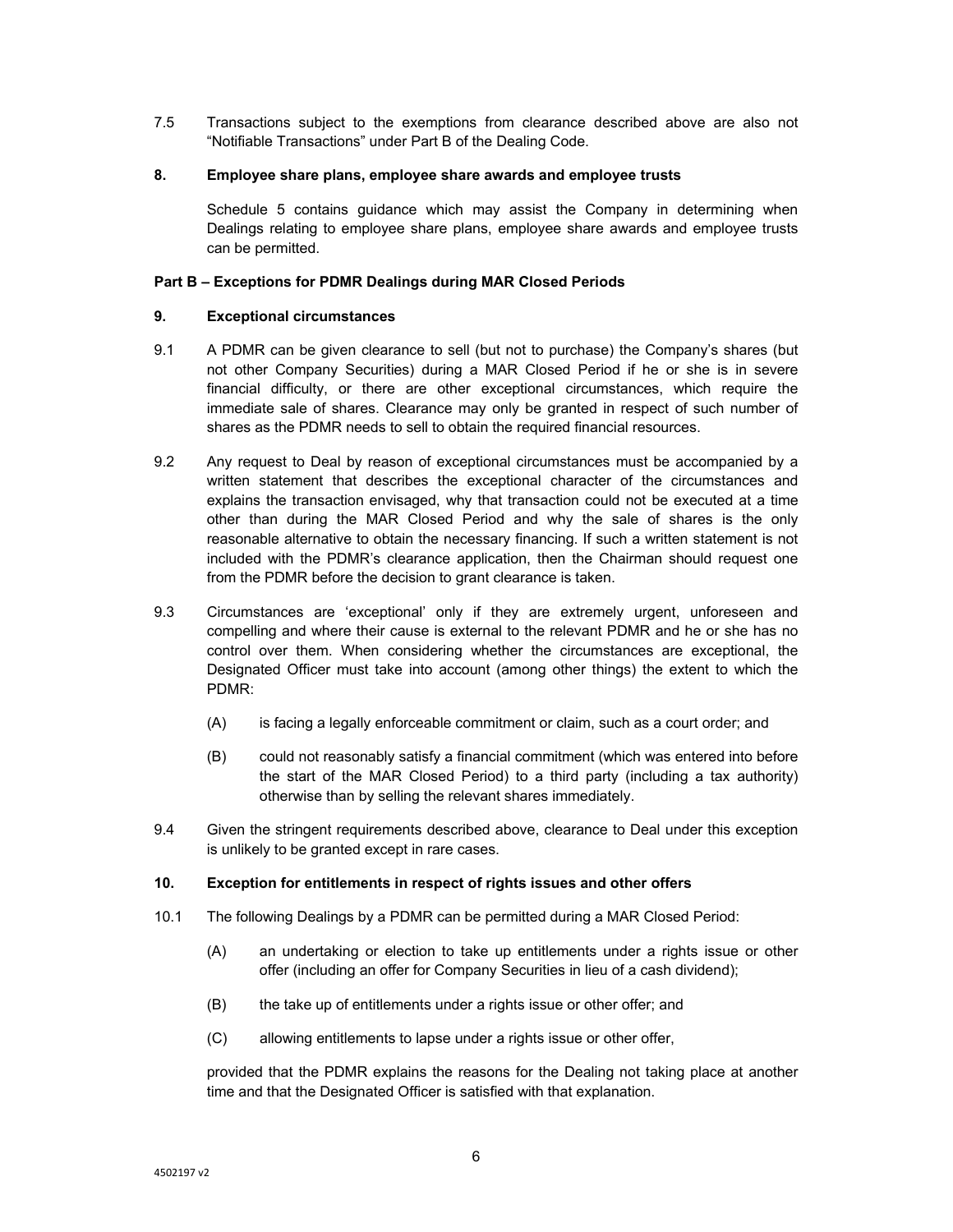7.5 Transactions subject to the exemptions from clearance described above are also not "Notifiable Transactions" under Part B of the Dealing Code.

## **8. Employee share plans, employee share awards and employee trusts**

Schedule 5 contains guidance which may assist the Company in determining when Dealings relating to employee share plans, employee share awards and employee trusts can be permitted.

## **Part B – Exceptions for PDMR Dealings during MAR Closed Periods**

## **9. Exceptional circumstances**

- 9.1 A PDMR can be given clearance to sell (but not to purchase) the Company's shares (but not other Company Securities) during a MAR Closed Period if he or she is in severe financial difficulty, or there are other exceptional circumstances, which require the immediate sale of shares. Clearance may only be granted in respect of such number of shares as the PDMR needs to sell to obtain the required financial resources.
- 9.2 Any request to Deal by reason of exceptional circumstances must be accompanied by a written statement that describes the exceptional character of the circumstances and explains the transaction envisaged, why that transaction could not be executed at a time other than during the MAR Closed Period and why the sale of shares is the only reasonable alternative to obtain the necessary financing. If such a written statement is not included with the PDMR's clearance application, then the Chairman should request one from the PDMR before the decision to grant clearance is taken.
- 9.3 Circumstances are 'exceptional' only if they are extremely urgent, unforeseen and compelling and where their cause is external to the relevant PDMR and he or she has no control over them. When considering whether the circumstances are exceptional, the Designated Officer must take into account (among other things) the extent to which the PDMR:
	- (A) is facing a legally enforceable commitment or claim, such as a court order; and
	- (B) could not reasonably satisfy a financial commitment (which was entered into before the start of the MAR Closed Period) to a third party (including a tax authority) otherwise than by selling the relevant shares immediately.
- 9.4 Given the stringent requirements described above, clearance to Deal under this exception is unlikely to be granted except in rare cases.

#### **10. Exception for entitlements in respect of rights issues and other offers**

- 10.1 The following Dealings by a PDMR can be permitted during a MAR Closed Period:
	- (A) an undertaking or election to take up entitlements under a rights issue or other offer (including an offer for Company Securities in lieu of a cash dividend);
	- (B) the take up of entitlements under a rights issue or other offer; and
	- (C) allowing entitlements to lapse under a rights issue or other offer,

provided that the PDMR explains the reasons for the Dealing not taking place at another time and that the Designated Officer is satisfied with that explanation.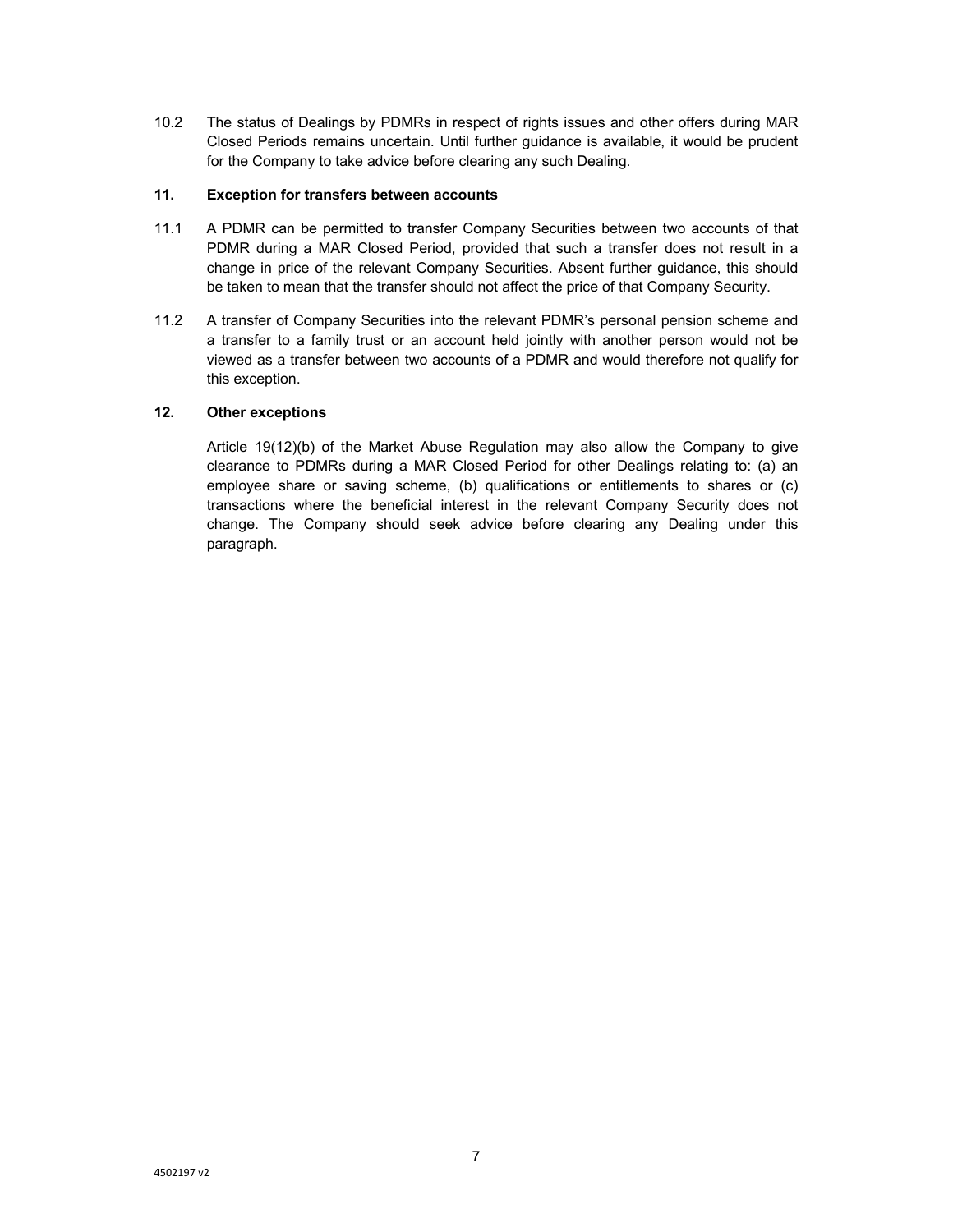10.2 The status of Dealings by PDMRs in respect of rights issues and other offers during MAR Closed Periods remains uncertain. Until further guidance is available, it would be prudent for the Company to take advice before clearing any such Dealing.

## **11. Exception for transfers between accounts**

- 11.1 A PDMR can be permitted to transfer Company Securities between two accounts of that PDMR during a MAR Closed Period, provided that such a transfer does not result in a change in price of the relevant Company Securities. Absent further guidance, this should be taken to mean that the transfer should not affect the price of that Company Security.
- 11.2 A transfer of Company Securities into the relevant PDMR's personal pension scheme and a transfer to a family trust or an account held jointly with another person would not be viewed as a transfer between two accounts of a PDMR and would therefore not qualify for this exception.

# **12. Other exceptions**

Article 19(12)(b) of the Market Abuse Regulation may also allow the Company to give clearance to PDMRs during a MAR Closed Period for other Dealings relating to: (a) an employee share or saving scheme, (b) qualifications or entitlements to shares or (c) transactions where the beneficial interest in the relevant Company Security does not change. The Company should seek advice before clearing any Dealing under this paragraph.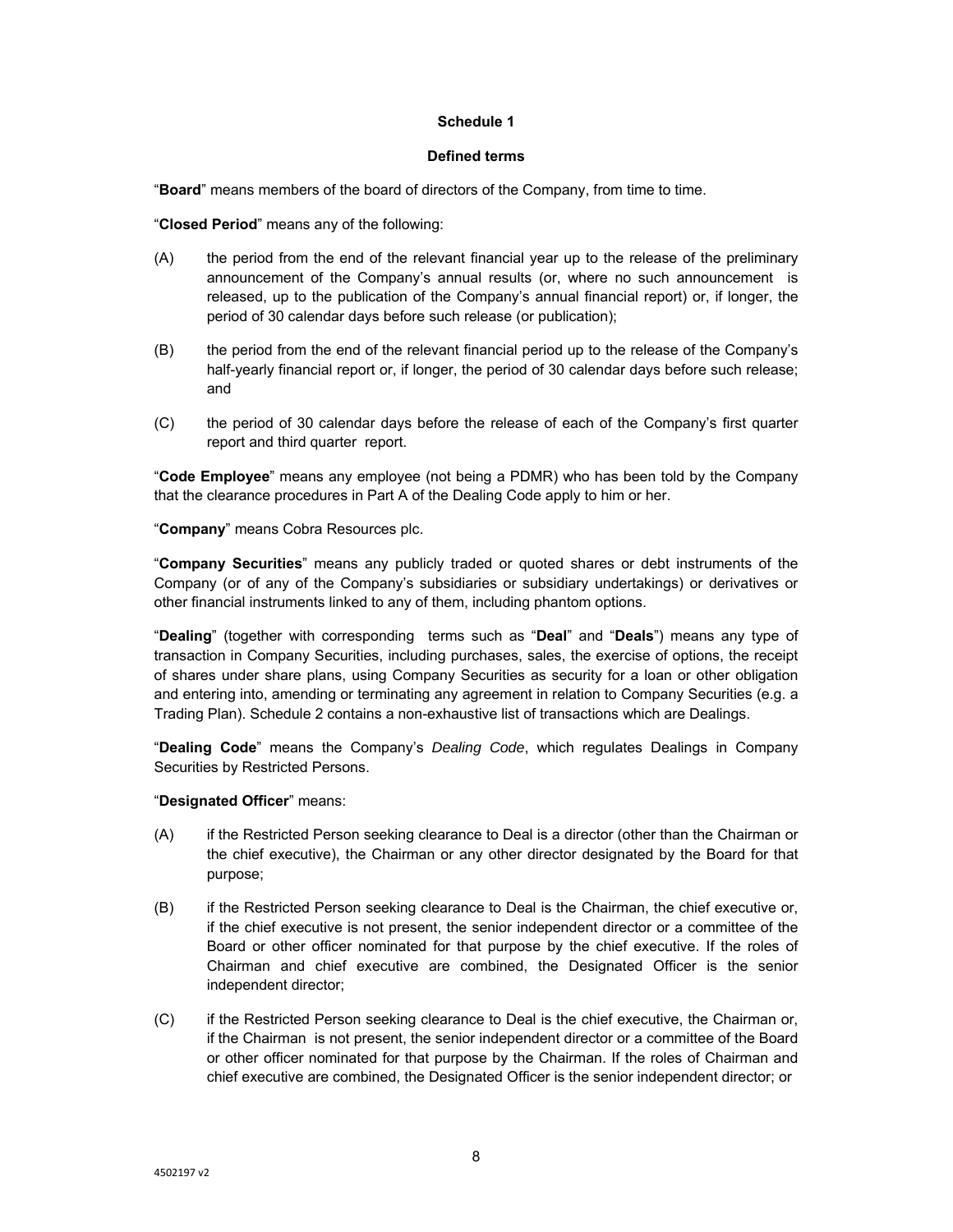#### **Defined terms**

"**Board**" means members of the board of directors of the Company, from time to time.

"**Closed Period**" means any of the following:

- (A) the period from the end of the relevant financial year up to the release of the preliminary announcement of the Company's annual results (or, where no such announcement is released, up to the publication of the Company's annual financial report) or, if longer, the period of 30 calendar days before such release (or publication);
- (B) the period from the end of the relevant financial period up to the release of the Company's half-yearly financial report or, if longer, the period of 30 calendar days before such release; and
- (C) the period of 30 calendar days before the release of each of the Company's first quarter report and third quarter report.

"**Code Employee**" means any employee (not being a PDMR) who has been told by the Company that the clearance procedures in Part A of the Dealing Code apply to him or her.

"**Company**" means Cobra Resources plc.

"**Company Securities**" means any publicly traded or quoted shares or debt instruments of the Company (or of any of the Company's subsidiaries or subsidiary undertakings) or derivatives or other financial instruments linked to any of them, including phantom options.

"**Dealing**" (together with corresponding terms such as "**Deal**" and "**Deals**") means any type of transaction in Company Securities, including purchases, sales, the exercise of options, the receipt of shares under share plans, using Company Securities as security for a loan or other obligation and entering into, amending or terminating any agreement in relation to Company Securities (e.g. a Trading Plan). Schedule 2 contains a non-exhaustive list of transactions which are Dealings.

"**Dealing Code**" means the Company's *Dealing Code*, which regulates Dealings in Company Securities by Restricted Persons.

"**Designated Officer**" means:

- (A) if the Restricted Person seeking clearance to Deal is a director (other than the Chairman or the chief executive), the Chairman or any other director designated by the Board for that purpose;
- (B) if the Restricted Person seeking clearance to Deal is the Chairman, the chief executive or, if the chief executive is not present, the senior independent director or a committee of the Board or other officer nominated for that purpose by the chief executive. If the roles of Chairman and chief executive are combined, the Designated Officer is the senior independent director;
- (C) if the Restricted Person seeking clearance to Deal is the chief executive, the Chairman or, if the Chairman is not present, the senior independent director or a committee of the Board or other officer nominated for that purpose by the Chairman. If the roles of Chairman and chief executive are combined, the Designated Officer is the senior independent director; or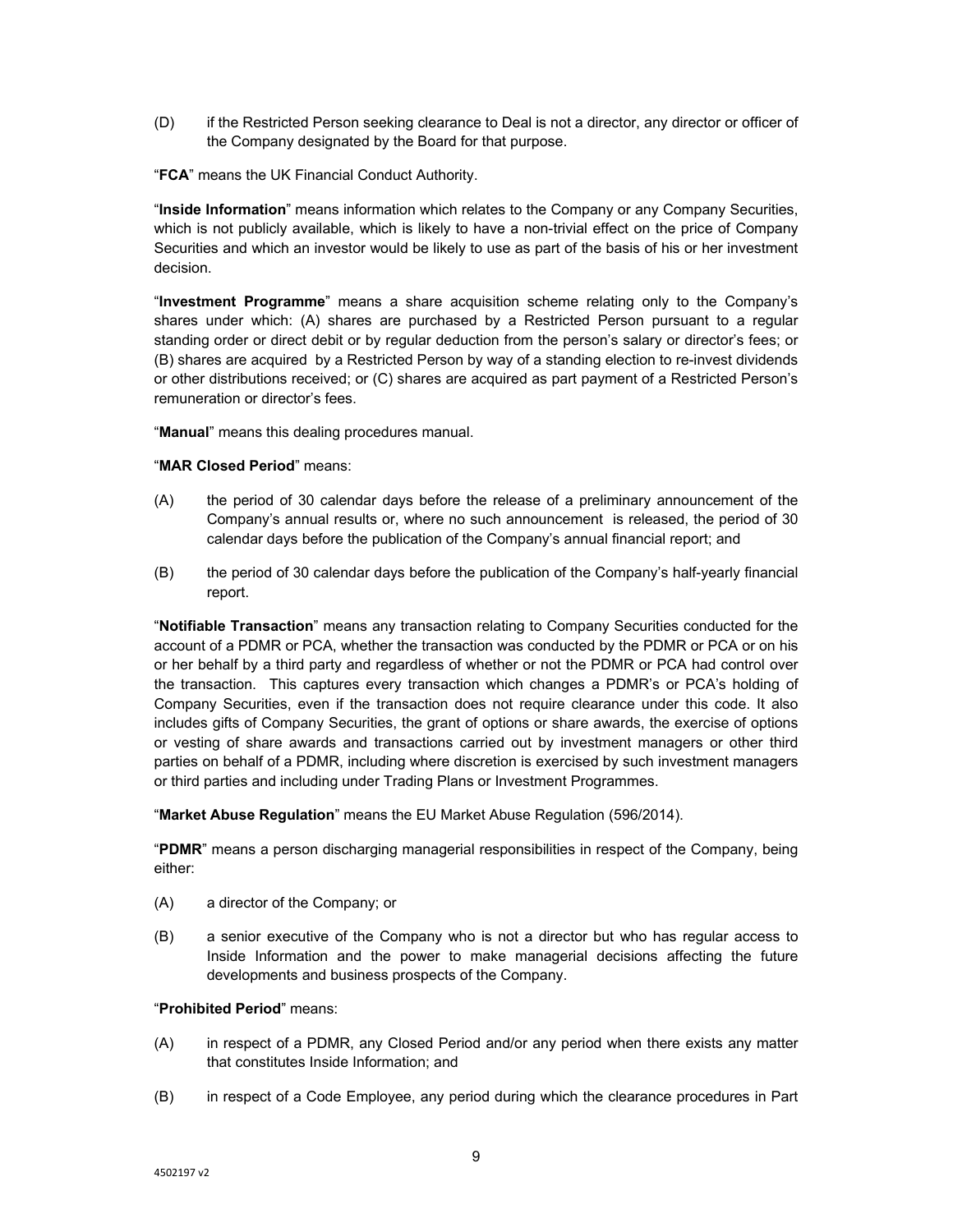- (D) if the Restricted Person seeking clearance to Deal is not a director, any director or officer of the Company designated by the Board for that purpose.
- "**FCA**" means the UK Financial Conduct Authority.

"**Inside Information**" means information which relates to the Company or any Company Securities, which is not publicly available, which is likely to have a non-trivial effect on the price of Company Securities and which an investor would be likely to use as part of the basis of his or her investment decision.

"**Investment Programme**" means a share acquisition scheme relating only to the Company's shares under which: (A) shares are purchased by a Restricted Person pursuant to a regular standing order or direct debit or by regular deduction from the person's salary or director's fees; or (B) shares are acquired by a Restricted Person by way of a standing election to re-invest dividends or other distributions received; or (C) shares are acquired as part payment of a Restricted Person's remuneration or director's fees.

"**Manual**" means this dealing procedures manual.

## "**MAR Closed Period**" means:

- (A) the period of 30 calendar days before the release of a preliminary announcement of the Company's annual results or, where no such announcement is released, the period of 30 calendar days before the publication of the Company's annual financial report; and
- (B) the period of 30 calendar days before the publication of the Company's half-yearly financial report.

"**Notifiable Transaction**" means any transaction relating to Company Securities conducted for the account of a PDMR or PCA, whether the transaction was conducted by the PDMR or PCA or on his or her behalf by a third party and regardless of whether or not the PDMR or PCA had control over the transaction. This captures every transaction which changes a PDMR's or PCA's holding of Company Securities, even if the transaction does not require clearance under this code. It also includes gifts of Company Securities, the grant of options or share awards, the exercise of options or vesting of share awards and transactions carried out by investment managers or other third parties on behalf of a PDMR, including where discretion is exercised by such investment managers or third parties and including under Trading Plans or Investment Programmes.

"**Market Abuse Regulation**" means the EU Market Abuse Regulation (596/2014).

"**PDMR**" means a person discharging managerial responsibilities in respect of the Company, being either:

- (A) a director of the Company; or
- (B) a senior executive of the Company who is not a director but who has regular access to Inside Information and the power to make managerial decisions affecting the future developments and business prospects of the Company.

# "**Prohibited Period**" means:

- (A) in respect of a PDMR, any Closed Period and/or any period when there exists any matter that constitutes Inside Information; and
- (B) in respect of a Code Employee, any period during which the clearance procedures in Part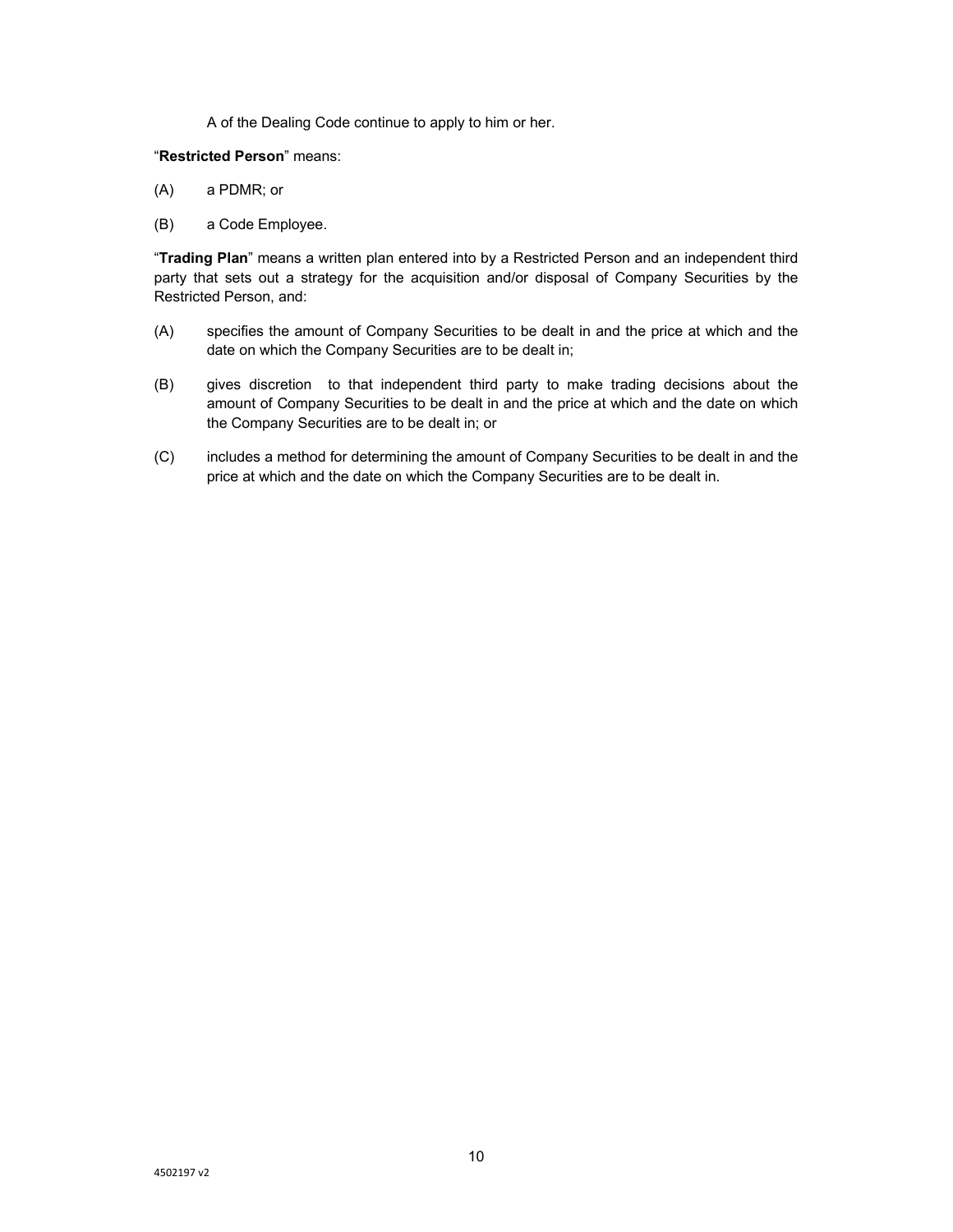A of the Dealing Code continue to apply to him or her.

#### "**Restricted Person**" means:

- (A) a PDMR; or
- (B) a Code Employee.

"**Trading Plan**" means a written plan entered into by a Restricted Person and an independent third party that sets out a strategy for the acquisition and/or disposal of Company Securities by the Restricted Person, and:

- (A) specifies the amount of Company Securities to be dealt in and the price at which and the date on which the Company Securities are to be dealt in;
- (B) gives discretion to that independent third party to make trading decisions about the amount of Company Securities to be dealt in and the price at which and the date on which the Company Securities are to be dealt in; or
- (C) includes a method for determining the amount of Company Securities to be dealt in and the price at which and the date on which the Company Securities are to be dealt in.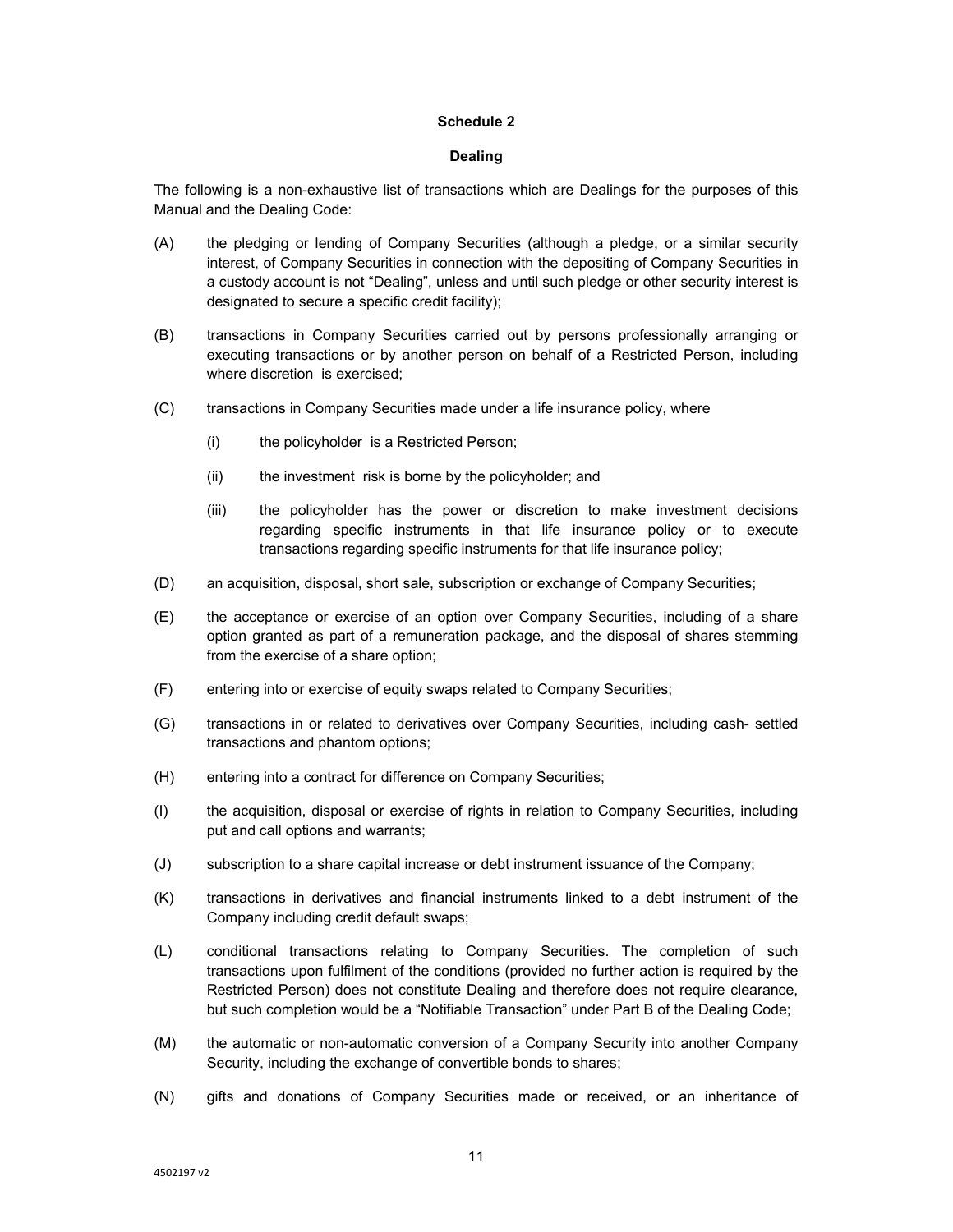### **Dealing**

The following is a non-exhaustive list of transactions which are Dealings for the purposes of this Manual and the Dealing Code:

- (A) the pledging or lending of Company Securities (although a pledge, or a similar security interest, of Company Securities in connection with the depositing of Company Securities in a custody account is not "Dealing", unless and until such pledge or other security interest is designated to secure a specific credit facility);
- (B) transactions in Company Securities carried out by persons professionally arranging or executing transactions or by another person on behalf of a Restricted Person, including where discretion is exercised;
- (C) transactions in Company Securities made under a life insurance policy, where
	- (i) the policyholder is a Restricted Person;
	- (ii) the investment risk is borne by the policyholder; and
	- (iii) the policyholder has the power or discretion to make investment decisions regarding specific instruments in that life insurance policy or to execute transactions regarding specific instruments for that life insurance policy;
- (D) an acquisition, disposal, short sale, subscription or exchange of Company Securities;
- (E) the acceptance or exercise of an option over Company Securities, including of a share option granted as part of a remuneration package, and the disposal of shares stemming from the exercise of a share option;
- (F) entering into or exercise of equity swaps related to Company Securities;
- (G) transactions in or related to derivatives over Company Securities, including cash- settled transactions and phantom options;
- (H) entering into a contract for difference on Company Securities;
- (I) the acquisition, disposal or exercise of rights in relation to Company Securities, including put and call options and warrants;
- (J) subscription to a share capital increase or debt instrument issuance of the Company;
- (K) transactions in derivatives and financial instruments linked to a debt instrument of the Company including credit default swaps;
- (L) conditional transactions relating to Company Securities. The completion of such transactions upon fulfilment of the conditions (provided no further action is required by the Restricted Person) does not constitute Dealing and therefore does not require clearance, but such completion would be a "Notifiable Transaction" under Part B of the Dealing Code;
- (M) the automatic or non-automatic conversion of a Company Security into another Company Security, including the exchange of convertible bonds to shares;
- (N) gifts and donations of Company Securities made or received, or an inheritance of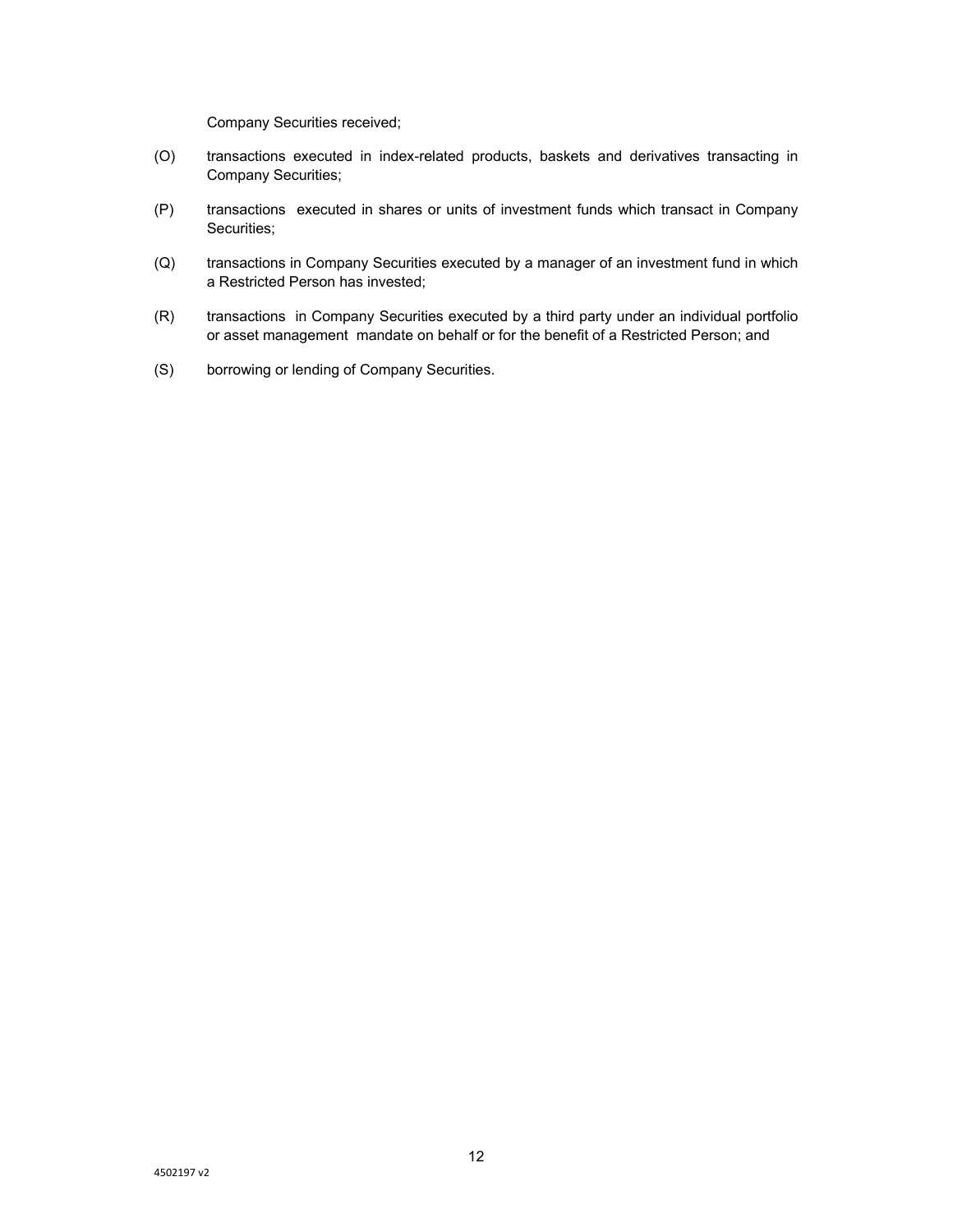Company Securities received;

- (O) transactions executed in index-related products, baskets and derivatives transacting in Company Securities;
- (P) transactions executed in shares or units of investment funds which transact in Company Securities;
- (Q) transactions in Company Securities executed by a manager of an investment fund in which a Restricted Person has invested;
- (R) transactions in Company Securities executed by a third party under an individual portfolio or asset management mandate on behalf or for the benefit of a Restricted Person; and
- (S) borrowing or lending of Company Securities.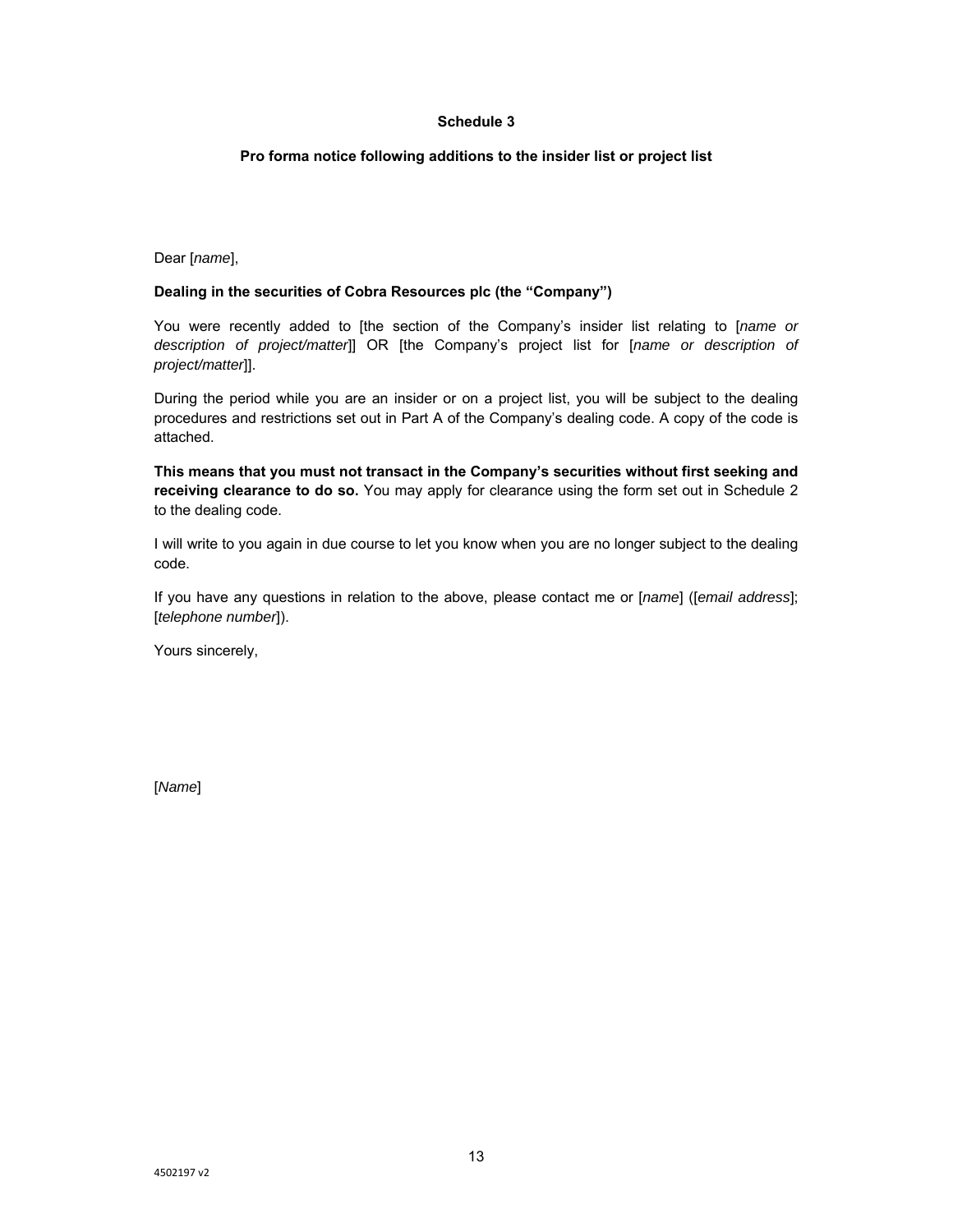## **Pro forma notice following additions to the insider list or project list**

Dear [*name*],

## **Dealing in the securities of Cobra Resources plc (the "Company")**

You were recently added to [the section of the Company's insider list relating to [*name or description of project/matter*]] OR [the Company's project list for [*name or description of project/matter*]].

During the period while you are an insider or on a project list, you will be subject to the dealing procedures and restrictions set out in Part A of the Company's dealing code. A copy of the code is attached.

**This means that you must not transact in the Company's securities without first seeking and receiving clearance to do so.** You may apply for clearance using the form set out in Schedule 2 to the dealing code.

I will write to you again in due course to let you know when you are no longer subject to the dealing code.

If you have any questions in relation to the above, please contact me or [*name*] ([*email address*]; [*telephone number*]).

Yours sincerely,

[*Name*]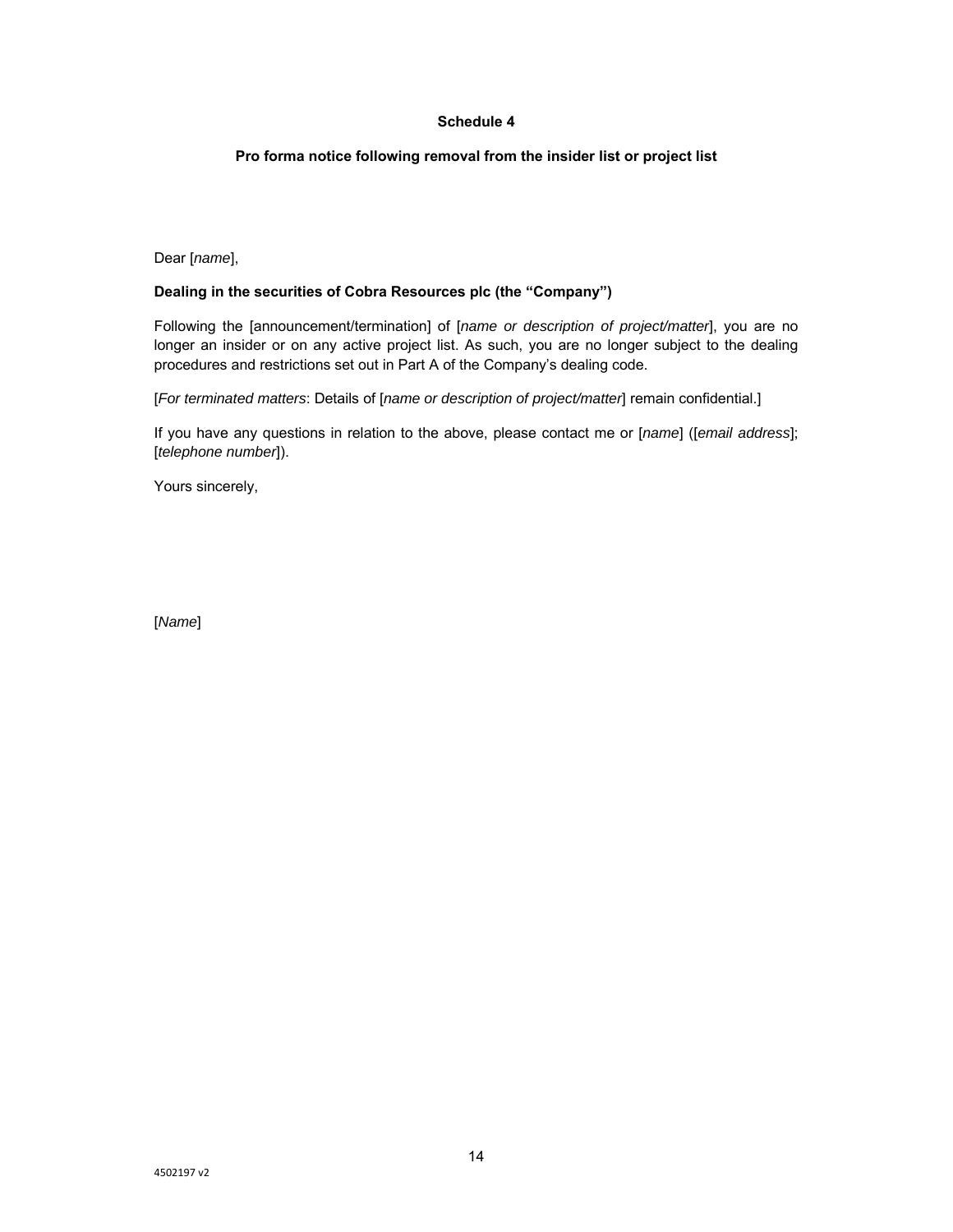## **Pro forma notice following removal from the insider list or project list**

Dear [*name*],

## **Dealing in the securities of Cobra Resources plc (the "Company")**

Following the [announcement/termination] of [*name or description of project/matter*], you are no longer an insider or on any active project list. As such, you are no longer subject to the dealing procedures and restrictions set out in Part A of the Company's dealing code.

[*For terminated matters*: Details of [*name or description of project/matter*] remain confidential.]

If you have any questions in relation to the above, please contact me or [*name*] ([*email address*]; [*telephone number*]).

Yours sincerely,

[*Name*]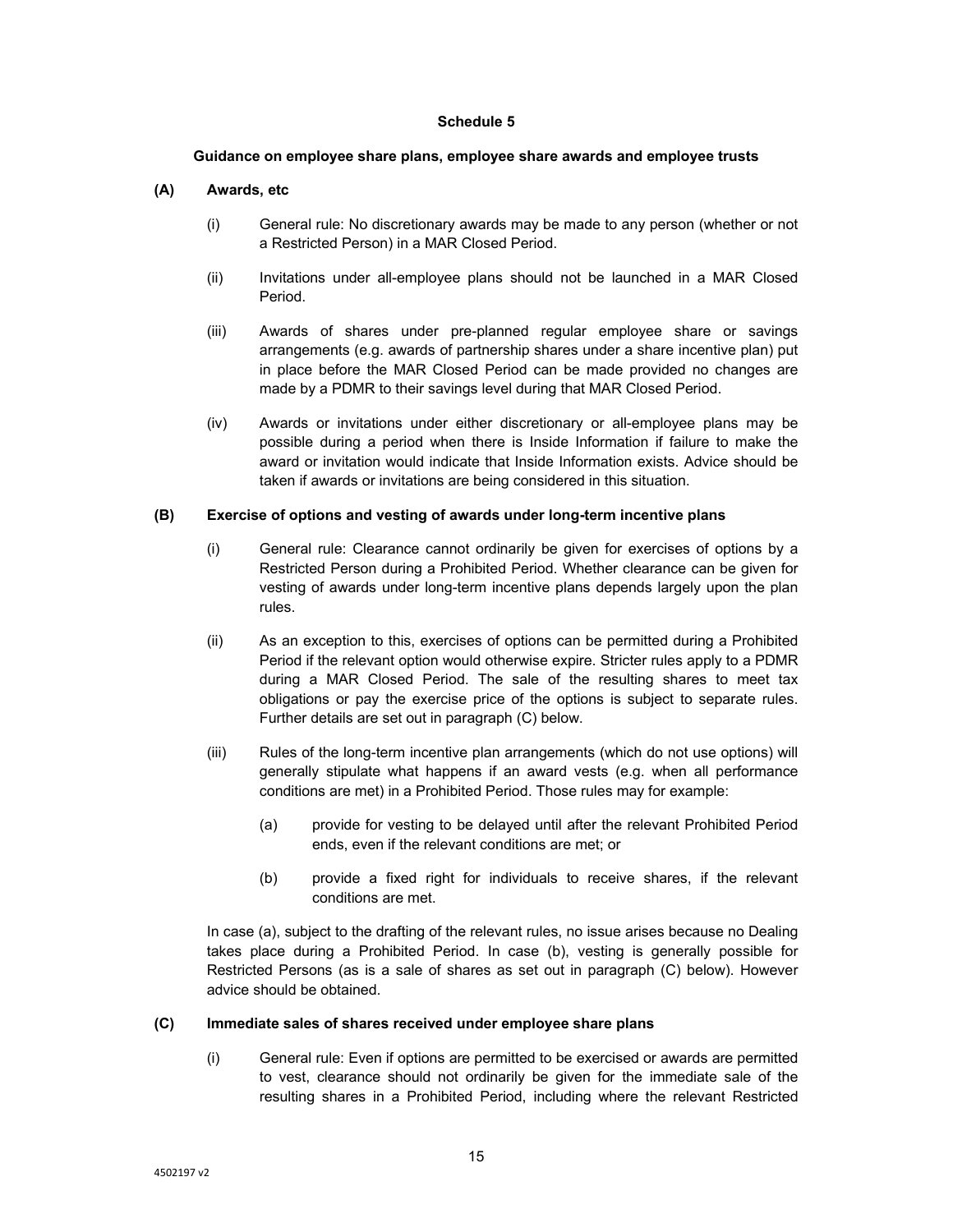#### **Guidance on employee share plans, employee share awards and employee trusts**

# **(A) Awards, etc**

- (i) General rule: No discretionary awards may be made to any person (whether or not a Restricted Person) in a MAR Closed Period.
- (ii) Invitations under all-employee plans should not be launched in a MAR Closed Period.
- (iii) Awards of shares under pre-planned regular employee share or savings arrangements (e.g. awards of partnership shares under a share incentive plan) put in place before the MAR Closed Period can be made provided no changes are made by a PDMR to their savings level during that MAR Closed Period.
- (iv) Awards or invitations under either discretionary or all-employee plans may be possible during a period when there is Inside Information if failure to make the award or invitation would indicate that Inside Information exists. Advice should be taken if awards or invitations are being considered in this situation.

### **(B) Exercise of options and vesting of awards under long-term incentive plans**

- (i) General rule: Clearance cannot ordinarily be given for exercises of options by a Restricted Person during a Prohibited Period. Whether clearance can be given for vesting of awards under long-term incentive plans depends largely upon the plan rules.
- (ii) As an exception to this, exercises of options can be permitted during a Prohibited Period if the relevant option would otherwise expire. Stricter rules apply to a PDMR during a MAR Closed Period. The sale of the resulting shares to meet tax obligations or pay the exercise price of the options is subject to separate rules. Further details are set out in paragraph (C) below.
- (iii) Rules of the long-term incentive plan arrangements (which do not use options) will generally stipulate what happens if an award vests (e.g. when all performance conditions are met) in a Prohibited Period. Those rules may for example:
	- (a) provide for vesting to be delayed until after the relevant Prohibited Period ends, even if the relevant conditions are met; or
	- (b) provide a fixed right for individuals to receive shares, if the relevant conditions are met.

 In case (a), subject to the drafting of the relevant rules, no issue arises because no Dealing takes place during a Prohibited Period. In case (b), vesting is generally possible for Restricted Persons (as is a sale of shares as set out in paragraph (C) below). However advice should be obtained.

#### **(C) Immediate sales of shares received under employee share plans**

(i) General rule: Even if options are permitted to be exercised or awards are permitted to vest, clearance should not ordinarily be given for the immediate sale of the resulting shares in a Prohibited Period, including where the relevant Restricted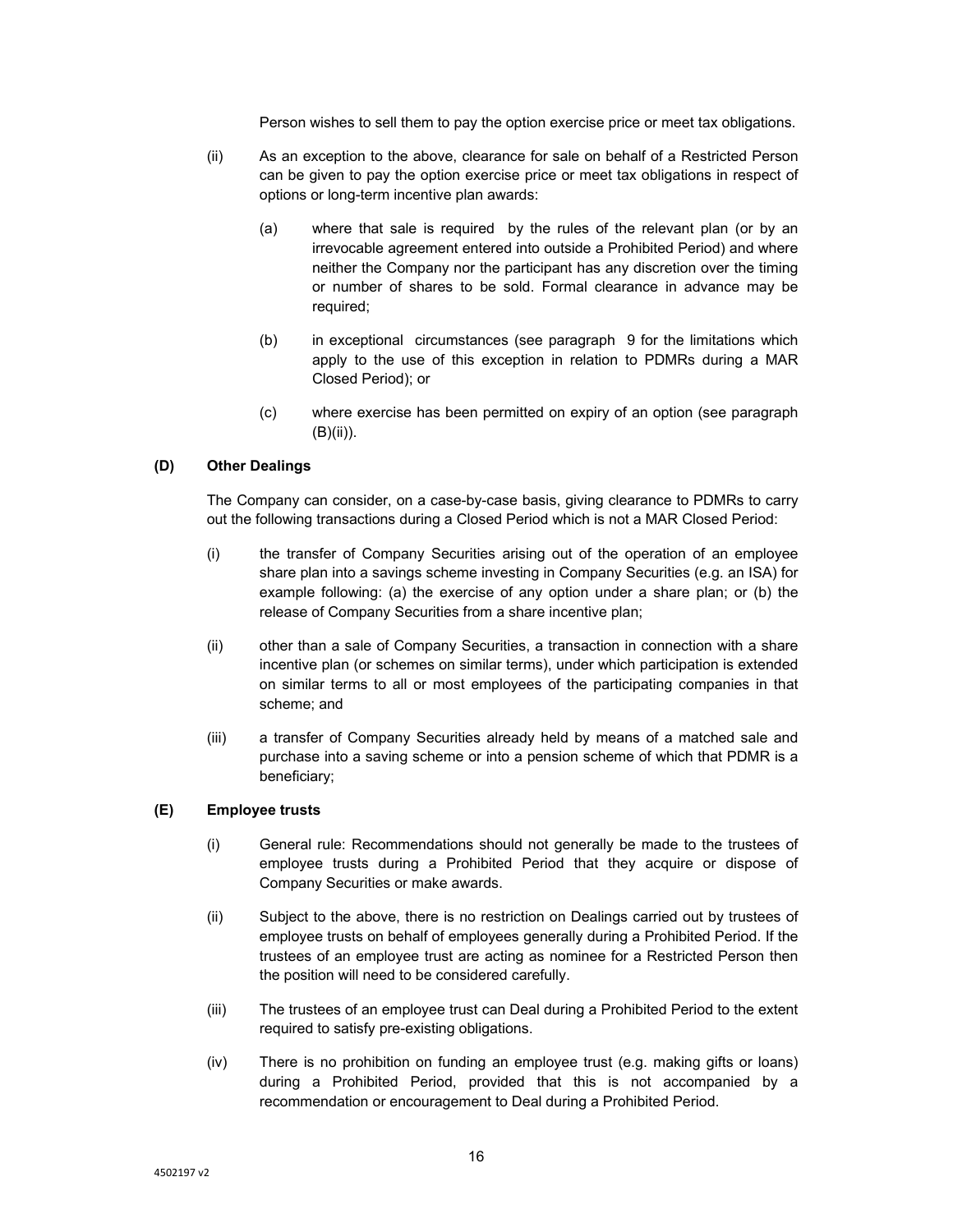Person wishes to sell them to pay the option exercise price or meet tax obligations.

- (ii) As an exception to the above, clearance for sale on behalf of a Restricted Person can be given to pay the option exercise price or meet tax obligations in respect of options or long-term incentive plan awards:
	- (a) where that sale is required by the rules of the relevant plan (or by an irrevocable agreement entered into outside a Prohibited Period) and where neither the Company nor the participant has any discretion over the timing or number of shares to be sold. Formal clearance in advance may be required;
	- (b) in exceptional circumstances (see paragraph 9 for the limitations which apply to the use of this exception in relation to PDMRs during a MAR Closed Period); or
	- (c) where exercise has been permitted on expiry of an option (see paragraph (B)(ii)).

## **(D) Other Dealings**

The Company can consider, on a case-by-case basis, giving clearance to PDMRs to carry out the following transactions during a Closed Period which is not a MAR Closed Period:

- (i) the transfer of Company Securities arising out of the operation of an employee share plan into a savings scheme investing in Company Securities (e.g. an ISA) for example following: (a) the exercise of any option under a share plan; or (b) the release of Company Securities from a share incentive plan;
- (ii) other than a sale of Company Securities, a transaction in connection with a share incentive plan (or schemes on similar terms), under which participation is extended on similar terms to all or most employees of the participating companies in that scheme; and
- (iii) a transfer of Company Securities already held by means of a matched sale and purchase into a saving scheme or into a pension scheme of which that PDMR is a beneficiary;

#### **(E) Employee trusts**

- (i) General rule: Recommendations should not generally be made to the trustees of employee trusts during a Prohibited Period that they acquire or dispose of Company Securities or make awards.
- (ii) Subject to the above, there is no restriction on Dealings carried out by trustees of employee trusts on behalf of employees generally during a Prohibited Period. If the trustees of an employee trust are acting as nominee for a Restricted Person then the position will need to be considered carefully.
- (iii) The trustees of an employee trust can Deal during a Prohibited Period to the extent required to satisfy pre-existing obligations.
- (iv) There is no prohibition on funding an employee trust (e.g. making gifts or loans) during a Prohibited Period, provided that this is not accompanied by a recommendation or encouragement to Deal during a Prohibited Period.